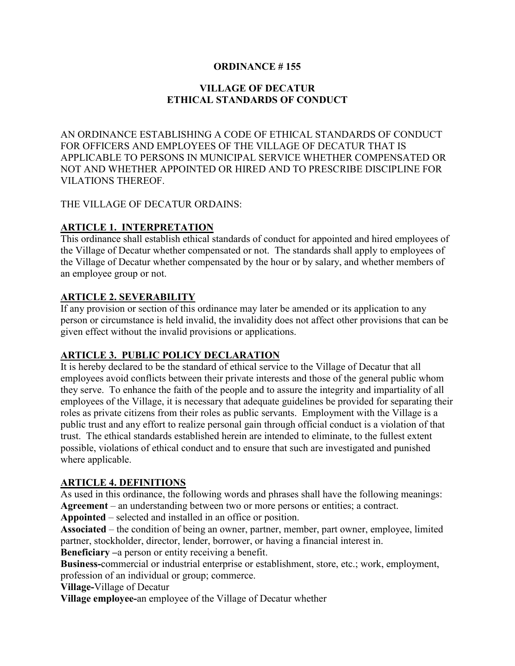## **ORDINANCE # 155**

# **VILLAGE OF DECATUR ETHICAL STANDARDS OF CONDUCT**

AN ORDINANCE ESTABLISHING A CODE OF ETHICAL STANDARDS OF CONDUCT FOR OFFICERS AND EMPLOYEES OF THE VILLAGE OF DECATUR THAT IS APPLICABLE TO PERSONS IN MUNICIPAL SERVICE WHETHER COMPENSATED OR NOT AND WHETHER APPOINTED OR HIRED AND TO PRESCRIBE DISCIPLINE FOR VILATIONS THEREOF.

#### THE VILLAGE OF DECATUR ORDAINS:

### **ARTICLE 1. INTERPRETATION**

This ordinance shall establish ethical standards of conduct for appointed and hired employees of the Village of Decatur whether compensated or not. The standards shall apply to employees of the Village of Decatur whether compensated by the hour or by salary, and whether members of an employee group or not.

# **ARTICLE 2. SEVERABILITY**

If any provision or section of this ordinance may later be amended or its application to any person or circumstance is held invalid, the invalidity does not affect other provisions that can be given effect without the invalid provisions or applications.

## **ARTICLE 3. PUBLIC POLICY DECLARATION**

It is hereby declared to be the standard of ethical service to the Village of Decatur that all employees avoid conflicts between their private interests and those of the general public whom they serve. To enhance the faith of the people and to assure the integrity and impartiality of all employees of the Village, it is necessary that adequate guidelines be provided for separating their roles as private citizens from their roles as public servants. Employment with the Village is a public trust and any effort to realize personal gain through official conduct is a violation of that trust. The ethical standards established herein are intended to eliminate, to the fullest extent possible, violations of ethical conduct and to ensure that such are investigated and punished where applicable.

#### **ARTICLE 4. DEFINITIONS**

As used in this ordinance, the following words and phrases shall have the following meanings: **Agreement** – an understanding between two or more persons or entities; a contract.

**Appointed** – selected and installed in an office or position.

**Associated** – the condition of being an owner, partner, member, part owner, employee, limited partner, stockholder, director, lender, borrower, or having a financial interest in.

**Beneficiary –**a person or entity receiving a benefit.

**Business-**commercial or industrial enterprise or establishment, store, etc.; work, employment, profession of an individual or group; commerce.

**Village-**Village of Decatur

**Village employee-**an employee of the Village of Decatur whether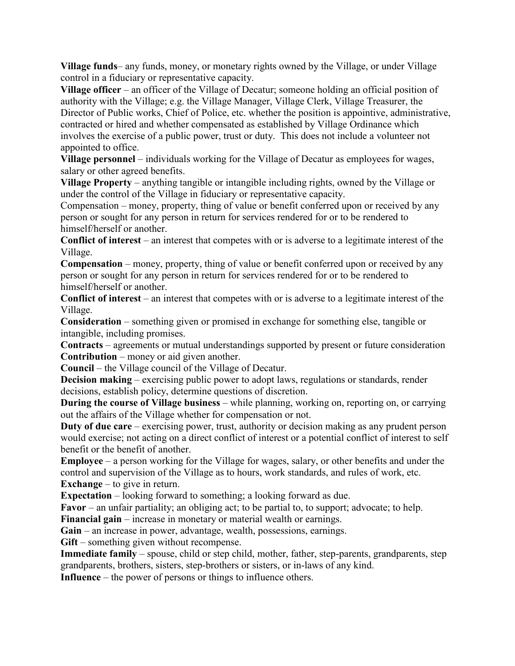**Village funds**– any funds, money, or monetary rights owned by the Village, or under Village control in a fiduciary or representative capacity.

**Village officer** – an officer of the Village of Decatur; someone holding an official position of authority with the Village; e.g. the Village Manager, Village Clerk, Village Treasurer, the Director of Public works, Chief of Police, etc. whether the position is appointive, administrative, contracted or hired and whether compensated as established by Village Ordinance which involves the exercise of a public power, trust or duty. This does not include a volunteer not appointed to office.

**Village personnel** – individuals working for the Village of Decatur as employees for wages, salary or other agreed benefits.

**Village Property** – anything tangible or intangible including rights, owned by the Village or under the control of the Village in fiduciary or representative capacity.

Compensation – money, property, thing of value or benefit conferred upon or received by any person or sought for any person in return for services rendered for or to be rendered to himself/herself or another.

**Conflict of interest** – an interest that competes with or is adverse to a legitimate interest of the Village.

**Compensation** – money, property, thing of value or benefit conferred upon or received by any person or sought for any person in return for services rendered for or to be rendered to himself/herself or another.

**Conflict of interest** – an interest that competes with or is adverse to a legitimate interest of the Village.

**Consideration** – something given or promised in exchange for something else, tangible or intangible, including promises.

**Contracts** – agreements or mutual understandings supported by present or future consideration **Contribution** – money or aid given another.

**Council** – the Village council of the Village of Decatur.

**Decision making** – exercising public power to adopt laws, regulations or standards, render decisions, establish policy, determine questions of discretion.

**During the course of Village business** – while planning, working on, reporting on, or carrying out the affairs of the Village whether for compensation or not.

**Duty of due care** – exercising power, trust, authority or decision making as any prudent person would exercise; not acting on a direct conflict of interest or a potential conflict of interest to self benefit or the benefit of another.

**Employee** – a person working for the Village for wages, salary, or other benefits and under the control and supervision of the Village as to hours, work standards, and rules of work, etc. **Exchange** – to give in return.

**Expectation** – looking forward to something; a looking forward as due.

**Favor** – an unfair partiality; an obliging act; to be partial to, to support; advocate; to help.

**Financial gain** – increase in monetary or material wealth or earnings.

**Gain** – an increase in power, advantage, wealth, possessions, earnings.

**Gift** – something given without recompense.

**Immediate family** – spouse, child or step child, mother, father, step-parents, grandparents, step grandparents, brothers, sisters, step-brothers or sisters, or in-laws of any kind.

**Influence** – the power of persons or things to influence others.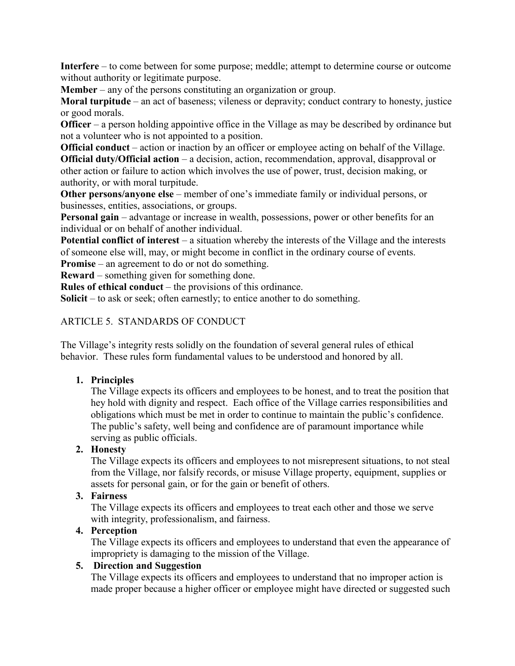**Interfere** – to come between for some purpose; meddle; attempt to determine course or outcome without authority or legitimate purpose.

**Member** – any of the persons constituting an organization or group.

**Moral turpitude** – an act of baseness; vileness or depravity; conduct contrary to honesty, justice or good morals.

**Officer** – a person holding appointive office in the Village as may be described by ordinance but not a volunteer who is not appointed to a position.

**Official conduct** – action or inaction by an officer or employee acting on behalf of the Village. **Official duty/Official action** – a decision, action, recommendation, approval, disapproval or other action or failure to action which involves the use of power, trust, decision making, or authority, or with moral turpitude.

**Other persons/anyone else** – member of one's immediate family or individual persons, or businesses, entities, associations, or groups.

**Personal gain** – advantage or increase in wealth, possessions, power or other benefits for an individual or on behalf of another individual.

**Potential conflict of interest** – a situation whereby the interests of the Village and the interests of someone else will, may, or might become in conflict in the ordinary course of events.

**Promise** – an agreement to do or not do something.

**Reward** – something given for something done.

**Rules of ethical conduct** – the provisions of this ordinance.

**Solicit** – to ask or seek; often earnestly; to entice another to do something.

### ARTICLE 5. STANDARDS OF CONDUCT

The Village's integrity rests solidly on the foundation of several general rules of ethical behavior. These rules form fundamental values to be understood and honored by all.

## **1. Principles**

The Village expects its officers and employees to be honest, and to treat the position that hey hold with dignity and respect. Each office of the Village carries responsibilities and obligations which must be met in order to continue to maintain the public's confidence. The public's safety, well being and confidence are of paramount importance while serving as public officials.

## **2. Honesty**

The Village expects its officers and employees to not misrepresent situations, to not steal from the Village, nor falsify records, or misuse Village property, equipment, supplies or assets for personal gain, or for the gain or benefit of others.

# **3. Fairness**

The Village expects its officers and employees to treat each other and those we serve with integrity, professionalism, and fairness.

## **4. Perception**

The Village expects its officers and employees to understand that even the appearance of impropriety is damaging to the mission of the Village.

# **5. Direction and Suggestion**

The Village expects its officers and employees to understand that no improper action is made proper because a higher officer or employee might have directed or suggested such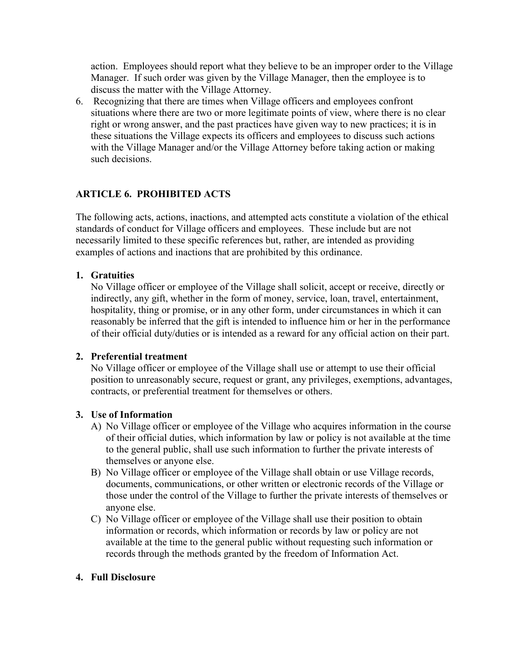action. Employees should report what they believe to be an improper order to the Village Manager. If such order was given by the Village Manager, then the employee is to discuss the matter with the Village Attorney.

6. Recognizing that there are times when Village officers and employees confront situations where there are two or more legitimate points of view, where there is no clear right or wrong answer, and the past practices have given way to new practices; it is in these situations the Village expects its officers and employees to discuss such actions with the Village Manager and/or the Village Attorney before taking action or making such decisions.

# **ARTICLE 6. PROHIBITED ACTS**

The following acts, actions, inactions, and attempted acts constitute a violation of the ethical standards of conduct for Village officers and employees. These include but are not necessarily limited to these specific references but, rather, are intended as providing examples of actions and inactions that are prohibited by this ordinance.

## **1. Gratuities**

No Village officer or employee of the Village shall solicit, accept or receive, directly or indirectly, any gift, whether in the form of money, service, loan, travel, entertainment, hospitality, thing or promise, or in any other form, under circumstances in which it can reasonably be inferred that the gift is intended to influence him or her in the performance of their official duty/duties or is intended as a reward for any official action on their part.

## **2. Preferential treatment**

No Village officer or employee of the Village shall use or attempt to use their official position to unreasonably secure, request or grant, any privileges, exemptions, advantages, contracts, or preferential treatment for themselves or others.

## **3. Use of Information**

- A) No Village officer or employee of the Village who acquires information in the course of their official duties, which information by law or policy is not available at the time to the general public, shall use such information to further the private interests of themselves or anyone else.
- B) No Village officer or employee of the Village shall obtain or use Village records, documents, communications, or other written or electronic records of the Village or those under the control of the Village to further the private interests of themselves or anyone else.
- C) No Village officer or employee of the Village shall use their position to obtain information or records, which information or records by law or policy are not available at the time to the general public without requesting such information or records through the methods granted by the freedom of Information Act.

## **4. Full Disclosure**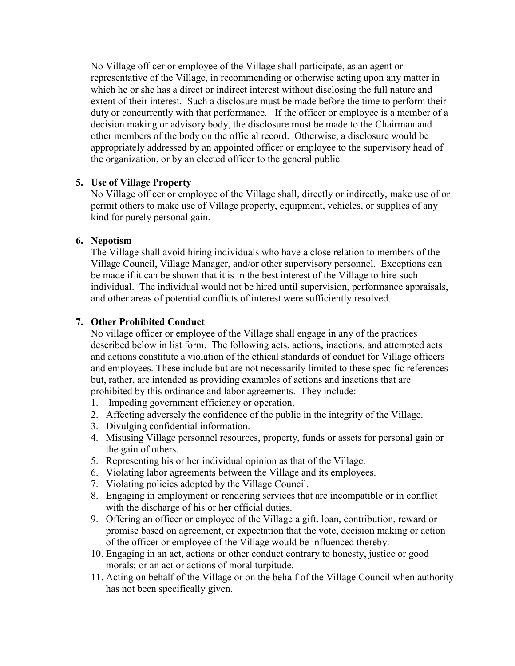No Village officer or employee of the Village shall participate, as an agent or representative of the Village, in recommending or otherwise acting upon any matter in which he or she has a direct or indirect interest without disclosing the full nature and extent of their interest. Such a disclosure must be made before the time to perform their duty or concurrently with that performance. If the officer or employee is a member of a decision making or advisory body, the disclosure must be made to the Chairman and other members of the body on the official record. Otherwise, a disclosure would be appropriately addressed by an appointed officer or employee to the supervisory head of the organization, or by an elected officer to the general public.

### **5. Use of Village Property**

No Village officer or employee of the Village shall, directly or indirectly, make use of or permit others to make use of Village property, equipment, vehicles, or supplies of any kind for purely personal gain.

### **6. Nepotism**

The Village shall avoid hiring individuals who have a close relation to members of the Village Council, Village Manager, and/or other supervisory personnel. Exceptions can be made if it can be shown that it is in the best interest of the Village to hire such individual. The individual would not be hired until supervision, performance appraisals, and other areas of potential conflicts of interest were sufficiently resolved.

## **7. Other Prohibited Conduct**

No village officer or employee of the Village shall engage in any of the practices described below in list form. The following acts, actions, inactions, and attempted acts and actions constitute a violation of the ethical standards of conduct for Village officers and employees. These include but are not necessarily limited to these specific references but, rather, are intended as providing examples of actions and inactions that are prohibited by this ordinance and labor agreements. They include:

- 1. Impeding government efficiency or operation.
- 2. Affecting adversely the confidence of the public in the integrity of the Village.
- 3. Divulging confidential information.
- 4. Misusing Village personnel resources, property, funds or assets for personal gain or the gain of others.
- 5. Representing his or her individual opinion as that of the Village.
- 6. Violating labor agreements between the Village and its employees.
- 7. Violating policies adopted by the Village Council.
- 8. Engaging in employment or rendering services that are incompatible or in conflict with the discharge of his or her official duties.
- 9. Offering an officer or employee of the Village a gift, loan, contribution, reward or promise based on agreement, or expectation that the vote, decision making or action of the officer or employee of the Village would be influenced thereby.
- 10. Engaging in an act, actions or other conduct contrary to honesty, justice or good morals; or an act or actions of moral turpitude.
- 11. Acting on behalf of the Village or on the behalf of the Village Council when authority has not been specifically given.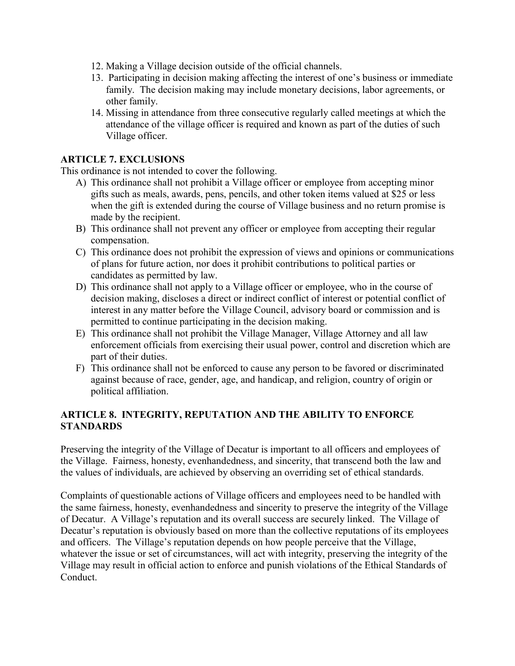- 12. Making a Village decision outside of the official channels.
- 13. Participating in decision making affecting the interest of one's business or immediate family. The decision making may include monetary decisions, labor agreements, or other family.
- 14. Missing in attendance from three consecutive regularly called meetings at which the attendance of the village officer is required and known as part of the duties of such Village officer.

### **ARTICLE 7. EXCLUSIONS**

This ordinance is not intended to cover the following.

- A) This ordinance shall not prohibit a Village officer or employee from accepting minor gifts such as meals, awards, pens, pencils, and other token items valued at \$25 or less when the gift is extended during the course of Village business and no return promise is made by the recipient.
- B) This ordinance shall not prevent any officer or employee from accepting their regular compensation.
- C) This ordinance does not prohibit the expression of views and opinions or communications of plans for future action, nor does it prohibit contributions to political parties or candidates as permitted by law.
- D) This ordinance shall not apply to a Village officer or employee, who in the course of decision making, discloses a direct or indirect conflict of interest or potential conflict of interest in any matter before the Village Council, advisory board or commission and is permitted to continue participating in the decision making.
- E) This ordinance shall not prohibit the Village Manager, Village Attorney and all law enforcement officials from exercising their usual power, control and discretion which are part of their duties.
- F) This ordinance shall not be enforced to cause any person to be favored or discriminated against because of race, gender, age, and handicap, and religion, country of origin or political affiliation.

### **ARTICLE 8. INTEGRITY, REPUTATION AND THE ABILITY TO ENFORCE STANDARDS**

Preserving the integrity of the Village of Decatur is important to all officers and employees of the Village. Fairness, honesty, evenhandedness, and sincerity, that transcend both the law and the values of individuals, are achieved by observing an overriding set of ethical standards.

Complaints of questionable actions of Village officers and employees need to be handled with the same fairness, honesty, evenhandedness and sincerity to preserve the integrity of the Village of Decatur. A Village's reputation and its overall success are securely linked. The Village of Decatur's reputation is obviously based on more than the collective reputations of its employees and officers. The Village's reputation depends on how people perceive that the Village, whatever the issue or set of circumstances, will act with integrity, preserving the integrity of the Village may result in official action to enforce and punish violations of the Ethical Standards of Conduct.